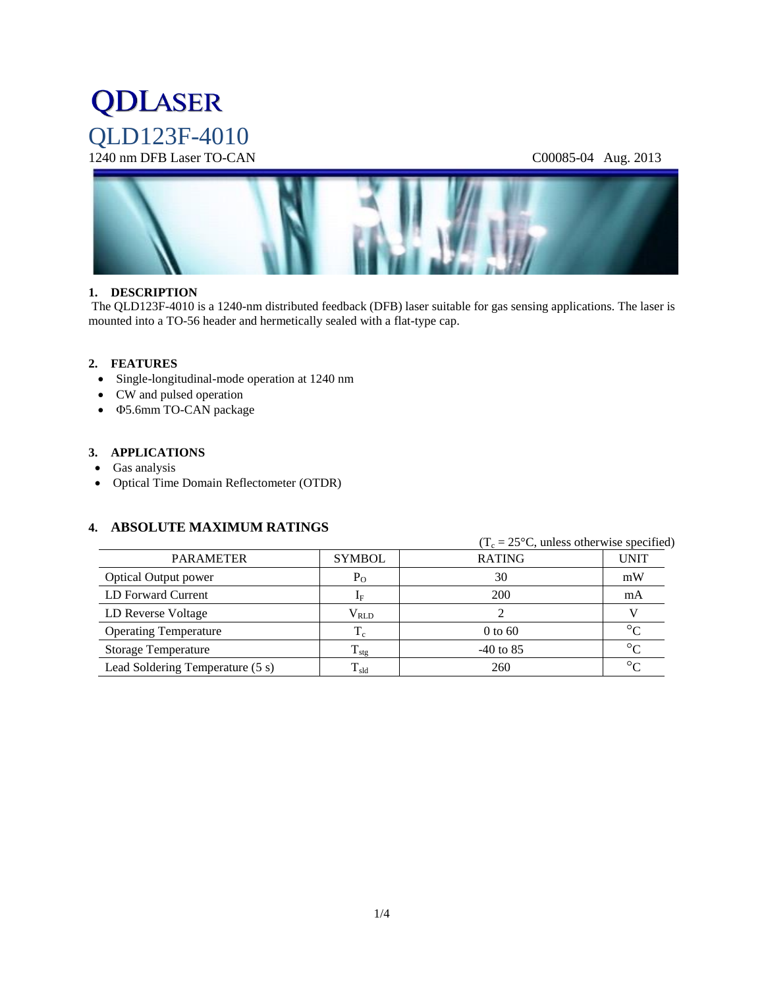# **QDLASER** QLD123F-4010

### 1240 nm DFB Laser TO-CAN C00085-04 Aug. 2013



#### **1. DESCRIPTION**

The QLD123F-4010 is a 1240-nm distributed feedback (DFB) laser suitable for gas sensing applications. The laser is mounted into a TO-56 header and hermetically sealed with a flat-type cap.

#### **2. FEATURES**

- Single-longitudinal-mode operation at 1240 nm
- CW and pulsed operation
- 5.6mm TO-CAN package

#### **3. APPLICATIONS**

- Gas analysis
- Optical Time Domain Reflectometer (OTDR)

#### **4. ABSOLUTE MAXIMUM RATINGS**

|                                  |                   |               | $(T_c = 25^{\circ}C$ , unless otherwise specified) |  |  |
|----------------------------------|-------------------|---------------|----------------------------------------------------|--|--|
| <b>PARAMETER</b>                 | <b>SYMBOL</b>     | <b>RATING</b> | <b>UNIT</b>                                        |  |  |
| <b>Optical Output power</b>      | $P_{O}$           | 30            | mW                                                 |  |  |
| LD Forward Current               | $I_F$             | 200           | mA                                                 |  |  |
| LD Reverse Voltage               | $\rm V_{RLD}$     |               |                                                    |  |  |
| <b>Operating Temperature</b>     | $T_c$             | $0$ to 60     | $\circ$                                            |  |  |
| <b>Storage Temperature</b>       | $T_{\text{stg}}$  | $-40$ to 85   | $\circ$                                            |  |  |
| Lead Soldering Temperature (5 s) | $\rm T_{\rm sld}$ | 260           | $\circ$                                            |  |  |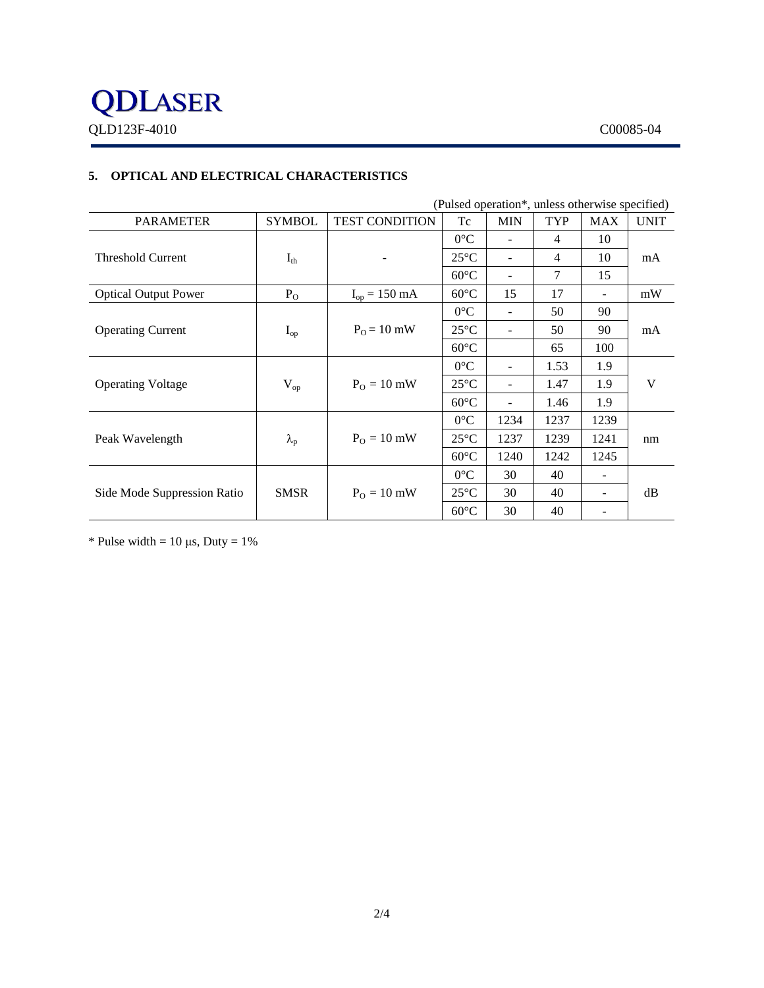#### **5. OPTICAL AND ELECTRICAL CHARACTERISTICS**

| (Pulsed operation*, unless otherwise specified) |                   |                           |                |                          |            |            |             |  |  |
|-------------------------------------------------|-------------------|---------------------------|----------------|--------------------------|------------|------------|-------------|--|--|
| <b>PARAMETER</b>                                | <b>SYMBOL</b>     | <b>TEST CONDITION</b>     | Tc             | <b>MIN</b>               | <b>TYP</b> | <b>MAX</b> | <b>UNIT</b> |  |  |
|                                                 |                   |                           | $0^{\circ}C$   |                          | 4          | 10         |             |  |  |
| <b>Threshold Current</b>                        | $I_{th}$          |                           | $25^{\circ}$ C |                          | 4          | 10         | mA          |  |  |
|                                                 |                   |                           | $60^{\circ}$ C |                          | 7          | 15         |             |  |  |
| <b>Optical Output Power</b>                     | $P_{O}$           | $I_{op} = 150 \text{ mA}$ | $60^{\circ}$ C | 15                       | 17         |            | mW          |  |  |
|                                                 |                   |                           | $0^{\circ}$ C  |                          | 50         | 90         |             |  |  |
| <b>Operating Current</b>                        | $I_{op}$          | $P_0 = 10$ mW             | $25^{\circ}$ C |                          | 50         | 90         | mA          |  |  |
|                                                 |                   |                           | $60^{\circ}$ C |                          | 65         | 100        |             |  |  |
| <b>Operating Voltage</b>                        | $V_{op}$          | $PO = 10$ mW              | $0^{\circ}$ C  | $\overline{\phantom{a}}$ | 1.53       | 1.9        | V           |  |  |
|                                                 |                   |                           | $25^{\circ}$ C |                          | 1.47       | 1.9        |             |  |  |
|                                                 |                   |                           | $60^{\circ}$ C |                          | 1.46       | 1.9        |             |  |  |
|                                                 |                   |                           | $0^{\circ}$ C  | 1234                     | 1237       | 1239       |             |  |  |
| Peak Wavelength                                 | $\lambda_{\rm p}$ | $P_{O} = 10$ mW           | $25^{\circ}C$  | 1237                     | 1239       | 1241       | nm          |  |  |
|                                                 |                   |                           | $60^{\circ}$ C | 1240                     | 1242       | 1245       |             |  |  |
| Side Mode Suppression Ratio                     |                   |                           | $0^{\circ}$ C  | 30                       | 40         |            |             |  |  |
|                                                 | <b>SMSR</b>       | $PO = 10$ mW              | $25^{\circ}$ C | 30                       | 40         |            | dB          |  |  |
|                                                 |                   |                           | $60^{\circ}$ C | 30                       | 40         |            |             |  |  |

\* Pulse width =  $10 \mu s$ , Duty =  $1\%$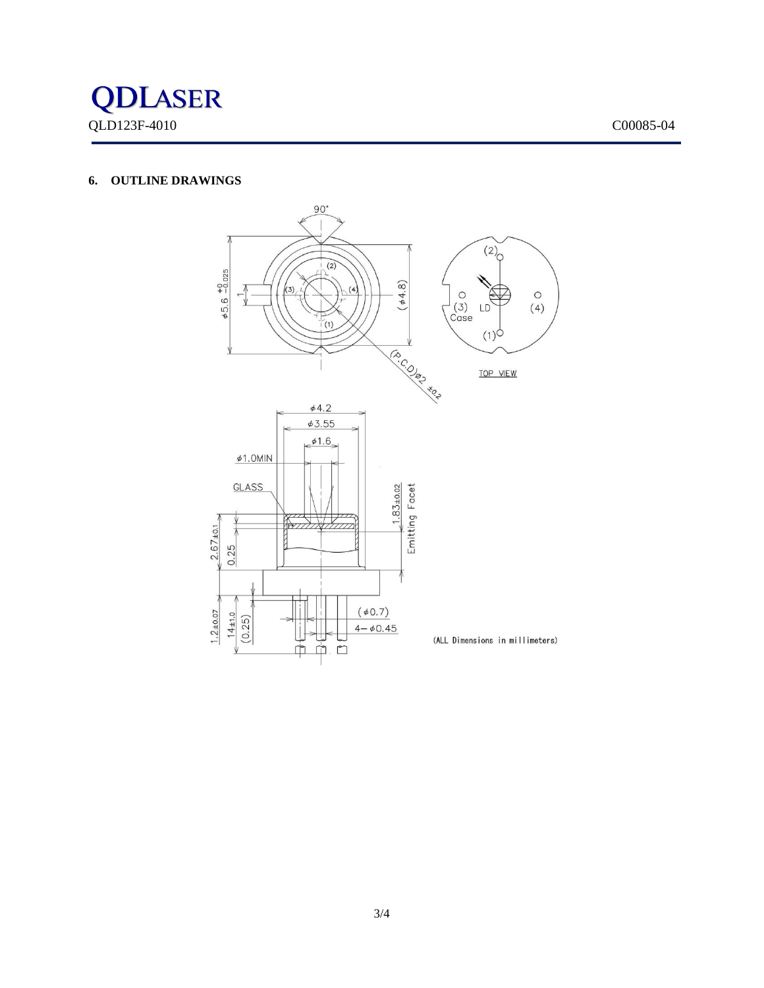

#### **6. OUTLINE DRAWINGS**